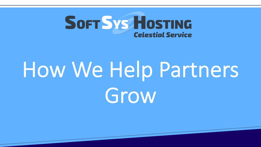

# How We Help Partners Grow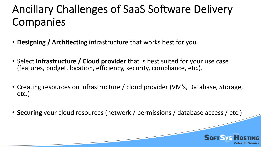## Ancillary Challenges of SaaS Software Delivery Companies

- **Designing / Architecting** infrastructure that works best for you.
- Select **Infrastructure / Cloud provider** that is best suited for your use case (features, budget, location, efficiency, security, compliance, etc.).
- Creating resources on infrastructure / cloud provider (VM's, Database, Storage, etc.)
- **Securing** your cloud resources (network / permissions / database access / etc.)

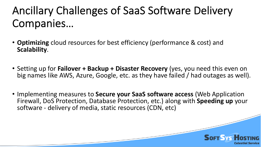# Ancillary Challenges of SaaS Software Delivery Companies…

- **Optimizing** cloud resources for best efficiency (performance & cost) and **Scalability**.
- Setting up for **Failover + Backup + Disaster Recovery** (yes, you need this even on big names like AWS, Azure, Google, etc. as they have failed / had outages as well).
- Implementing measures to **Secure your SaaS software access** (Web Application Firewall, DoS Protection, Database Protection, etc.) along with **Speeding up** your software - delivery of media, static resources (CDN, etc)

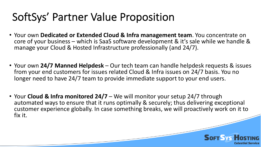#### SoftSys' Partner Value Proposition

- Your own **Dedicated or Extended Cloud & Infra management team**. You concentrate on core of your business – which is SaaS software development & it's sale while we handle & manage your Cloud & Hosted Infrastructure professionally (and 24/7).
- Your own **24/7 Manned Helpdesk** Our tech team can handle helpdesk requests & issues from your end customers for issues related Cloud & Infra issues on 24/7 basis. You no longer need to have 24/7 team to provide immediate support to your end users.
- Your **Cloud & Infra monitored 24/7** We will monitor your setup 24/7 through automated ways to ensure that it runs optimally & securely; thus delivering exceptional customer experience globally. In case something breaks, we will proactively work on it to fix it.

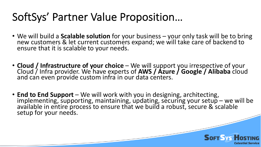#### SoftSys' Partner Value Proposition…

- We will build a **Scalable solution** for your business your only task will be to bring new customers & let current customers expand; we will take care of backend to ensure that it is scalable to your needs.
- **Cloud / Infrastructure of your choice** We will support you irrespective of your Cloud / Infra provider. We have experts of **AWS / Azure / Google / Alibaba** cloud and can even provide custom infra in our data centers.
- **End to End Support** We will work with you in designing, architecting, implementing, supporting, maintaining, updating, securing your setup we will be available in entire process to ensure that we build a robust, secure & scalable setup for your needs.

**SOFT SYS HOS** 

**Celestial Service**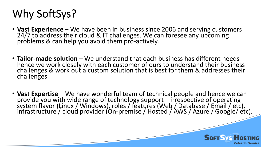# Why SoftSys?

- **Vast Experience** We have been in business since 2006 and serving customers 24/7 to address their cloud & IT challenges. We can foresee any upcoming problems & can help you avoid them pro-actively.
- **Tailor-made solution** We understand that each business has different needs -<br>hence we work closely with each customer of ours to understand their business challenges & work out a custom solution that is best for them & addresses their challenges.
- Vast Expertise We have wonderful team of technical people and hence we can<br>provide you with wide range of technology support irrespective of operating<br>system flavor (Linux / Windows), roles / features (Web / Database

**SOFT SYS HO** 

**Celestial Service**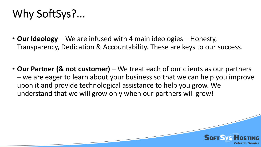## Why SoftSys?...

- **Our Ideology** We are infused with 4 main ideologies Honesty, Transparency, Dedication & Accountability. These are keys to our success.
- Our Partner (& not customer) We treat each of our clients as our partners – we are eager to learn about your business so that we can help you improve upon it and provide technological assistance to help you grow. We understand that we will grow only when our partners will grow!